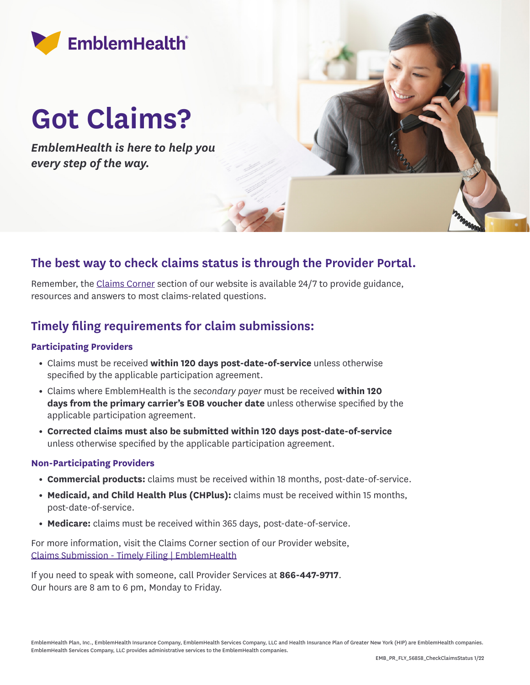

# **Got Claims?**

*EmblemHealth is here to help you every step of the way.*



## **The best way to check claims status is through the [Provider Portal](http://emblemhealth.com/providers/resources/provider-sign-in).**

Remember, the *Claims Corner* section of our website is available 24/7 to provide guidance, resources and answers to most claims-related questions.

## **Timely filing requirements for claim submissions:**

#### **Participating Providers**

- Claims must be received **within 120 days post-date-of-service** unless otherwise specified by the applicable participation agreement.
- Claims where EmblemHealth is the *secondary payer* must be received **within 120 days from the primary carrier's EOB voucher date** unless otherwise specified by the applicable participation agreement.
- **Corrected claims must also be submitted within 120 days post-date-of-service** unless otherwise specified by the applicable participation agreement.

#### **Non-Participating Providers**

- **Commercial products:** claims must be received within 18 months, post-date-of-service.
- **Medicaid, and Child Health Plus (CHPlus):** claims must be received within 15 months, post-date-of-service.
- **Medicare:** claims must be received within 365 days, post-date-of-service.

For more information, visit the Claims Corner section of our Provider website, [Claims Submission - Timely Filing | EmblemHealth](https://www.emblemhealth.com/providers/claims-corner/submissions/claims-submission-timely-filing)

If you need to speak with someone, call Provider Services at **866-447-9717**. Our hours are 8 am to 6 pm, Monday to Friday.